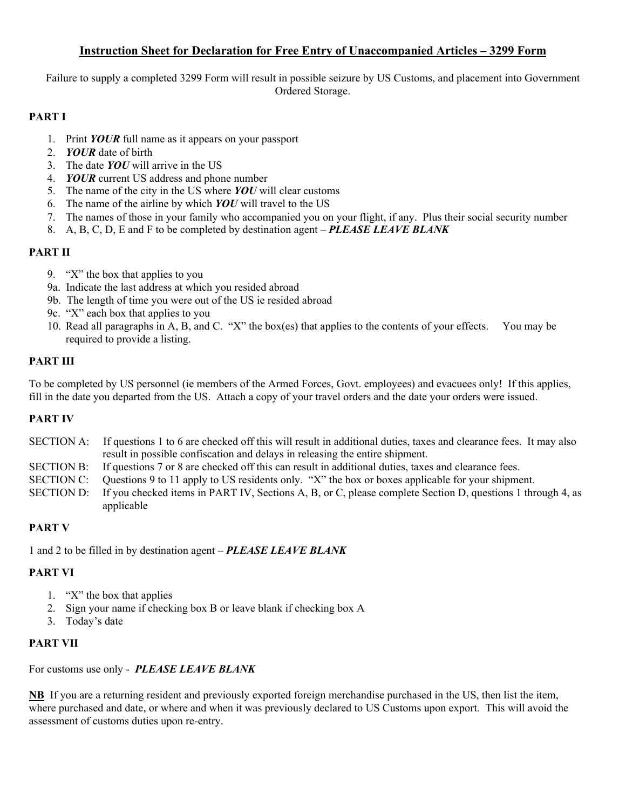### **Instruction Sheet for Declaration for Free Entry of Unaccompanied Articles – 3299 Form**

Failure to supply a completed 3299 Form will result in possible seizure by US Customs, and placement into Government Ordered Storage.

### **PART I**

- 1. Print *YOUR* full name as it appears on your passport
- 2. *YOUR* date of birth
- 3. The date *YOU* will arrive in the US
- 4. *YOUR* current US address and phone number
- 5. The name of the city in the US where *YOU* will clear customs
- 6. The name of the airline by which *YOU* will travel to the US
- 7. The names of those in your family who accompanied you on your flight, if any. Plus their social security number
- 8. A, B, C, D, E and F to be completed by destination agent *PLEASE LEAVE BLANK*

## **PART II**

- 9. "X" the box that applies to you
- 9a. Indicate the last address at which you resided abroad
- 9b. The length of time you were out of the US ie resided abroad
- 9c. "X" each box that applies to you
- 10. Read all paragraphs in A, B, and C. "X" the box(es) that applies to the contents of your effects. You may be required to provide a listing.

#### **PART III**

To be completed by US personnel (ie members of the Armed Forces, Govt. employees) and evacuees only! If this applies, fill in the date you departed from the US. Attach a copy of your travel orders and the date your orders were issued.

#### **PART IV**

- SECTION A: If questions 1 to 6 are checked off this will result in additional duties, taxes and clearance fees. It may also result in possible confiscation and delays in releasing the entire shipment.
- SECTION B: If questions 7 or 8 are checked off this can result in additional duties, taxes and clearance fees.
- SECTION C: Questions 9 to 11 apply to US residents only. "X" the box or boxes applicable for your shipment.
- SECTION D: If you checked items in PART IV, Sections A, B, or C, please complete Section D, questions 1 through 4, as applicable

#### **PART V**

1 and 2 to be filled in by destination agent – *PLEASE LEAVE BLANK*

#### **PART VI**

- 1. "X" the box that applies
- 2. Sign your name if checking box B or leave blank if checking box A
- 3. Today's date

#### **PART VII**

For customs use only - *PLEASE LEAVE BLANK*

**NB** If you are a returning resident and previously exported foreign merchandise purchased in the US, then list the item, where purchased and date, or where and when it was previously declared to US Customs upon export. This will avoid the assessment of customs duties upon re-entry.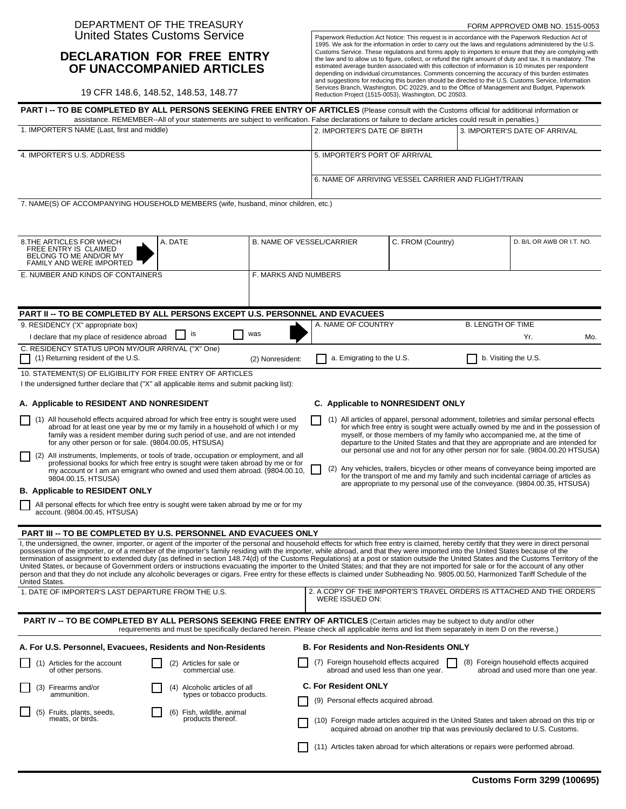#### DEPARTMENT OF THE TREASURY United States Customs Service

#### **DECLARATION FOR FREE ENTRY OF UNACCOMPANIED ARTICLES**

19 CFR 148.6, 148.52, 148.53, 148.77

Paperwork Reduction Act Notice: This request is in accordance with the Paperwork Reduction Act of 1995. We ask for the information in order to carry out the laws and regulations administered by the U.S. Customs Service. These regulations and forms apply to importers to ensure that they are complying with the law and to allow us to figure, collect, or refund the right amount of duty and tax. It is mandatory. The estimated average burden associated with this collection of information is 10 minutes per respondent depending on individual circumstances. Comments concerning the accuracy of this burden estimates and suggestions for reducing this burden should be directed to the U.S. Customs Service, Information<br>Services Branch, Washington, DC 20229, and to the Office of Management and Budget, Paperwork<br>Reduction Project (1515-0053

| PART I -- TO BE COMPLETED BY ALL PERSONS SEEKING FREE ENTRY OF ARTICLES (Please consult with the Customs official for additional information or                                                                                                                                                                                                                                                                                                                                                                                                                                                                                                                                                                                                                                                                                                                                                                                                                        |                                                                                                                                              |                                  |                                                                                           |                                                                                                                                                                                                                                                                                                                                                |                          |                                                                           |     |
|------------------------------------------------------------------------------------------------------------------------------------------------------------------------------------------------------------------------------------------------------------------------------------------------------------------------------------------------------------------------------------------------------------------------------------------------------------------------------------------------------------------------------------------------------------------------------------------------------------------------------------------------------------------------------------------------------------------------------------------------------------------------------------------------------------------------------------------------------------------------------------------------------------------------------------------------------------------------|----------------------------------------------------------------------------------------------------------------------------------------------|----------------------------------|-------------------------------------------------------------------------------------------|------------------------------------------------------------------------------------------------------------------------------------------------------------------------------------------------------------------------------------------------------------------------------------------------------------------------------------------------|--------------------------|---------------------------------------------------------------------------|-----|
| assistance. REMEMBER--All of your statements are subject to verification. False declarations or failure to declare articles could result in penalties.)<br>1. IMPORTER'S NAME (Last, first and middle)                                                                                                                                                                                                                                                                                                                                                                                                                                                                                                                                                                                                                                                                                                                                                                 |                                                                                                                                              |                                  | 2. IMPORTER'S DATE OF BIRTH                                                               |                                                                                                                                                                                                                                                                                                                                                |                          | 3. IMPORTER'S DATE OF ARRIVAL                                             |     |
| 4. IMPORTER'S U.S. ADDRESS                                                                                                                                                                                                                                                                                                                                                                                                                                                                                                                                                                                                                                                                                                                                                                                                                                                                                                                                             |                                                                                                                                              |                                  | 5. IMPORTER'S PORT OF ARRIVAL                                                             |                                                                                                                                                                                                                                                                                                                                                |                          |                                                                           |     |
|                                                                                                                                                                                                                                                                                                                                                                                                                                                                                                                                                                                                                                                                                                                                                                                                                                                                                                                                                                        |                                                                                                                                              |                                  |                                                                                           |                                                                                                                                                                                                                                                                                                                                                |                          |                                                                           |     |
|                                                                                                                                                                                                                                                                                                                                                                                                                                                                                                                                                                                                                                                                                                                                                                                                                                                                                                                                                                        |                                                                                                                                              |                                  | 6. NAME OF ARRIVING VESSEL CARRIER AND FLIGHT/TRAIN                                       |                                                                                                                                                                                                                                                                                                                                                |                          |                                                                           |     |
| 7. NAME(S) OF ACCOMPANYING HOUSEHOLD MEMBERS (wife, husband, minor children, etc.)                                                                                                                                                                                                                                                                                                                                                                                                                                                                                                                                                                                                                                                                                                                                                                                                                                                                                     |                                                                                                                                              |                                  |                                                                                           |                                                                                                                                                                                                                                                                                                                                                |                          |                                                                           |     |
|                                                                                                                                                                                                                                                                                                                                                                                                                                                                                                                                                                                                                                                                                                                                                                                                                                                                                                                                                                        |                                                                                                                                              |                                  |                                                                                           |                                                                                                                                                                                                                                                                                                                                                |                          |                                                                           |     |
| 8. THE ARTICLES FOR WHICH<br>FREE ENTRY IS CLAIMED<br>BELONG TO ME AND/OR MY<br>FAMILY AND WERE IMPORTED                                                                                                                                                                                                                                                                                                                                                                                                                                                                                                                                                                                                                                                                                                                                                                                                                                                               | A. DATE                                                                                                                                      | <b>B. NAME OF VESSEL/CARRIER</b> |                                                                                           | C. FROM (Country)                                                                                                                                                                                                                                                                                                                              |                          | D. B/L OR AWB OR I.T. NO.                                                 |     |
| E. NUMBER AND KINDS OF CONTAINERS                                                                                                                                                                                                                                                                                                                                                                                                                                                                                                                                                                                                                                                                                                                                                                                                                                                                                                                                      |                                                                                                                                              | F. MARKS AND NUMBERS             |                                                                                           |                                                                                                                                                                                                                                                                                                                                                |                          |                                                                           |     |
|                                                                                                                                                                                                                                                                                                                                                                                                                                                                                                                                                                                                                                                                                                                                                                                                                                                                                                                                                                        |                                                                                                                                              |                                  |                                                                                           |                                                                                                                                                                                                                                                                                                                                                |                          |                                                                           |     |
| PART II -- TO BE COMPLETED BY ALL PERSONS EXCEPT U.S. PERSONNEL AND EVACUEES                                                                                                                                                                                                                                                                                                                                                                                                                                                                                                                                                                                                                                                                                                                                                                                                                                                                                           |                                                                                                                                              |                                  |                                                                                           |                                                                                                                                                                                                                                                                                                                                                |                          |                                                                           |     |
| 9. RESIDENCY ('X" appropriate box)                                                                                                                                                                                                                                                                                                                                                                                                                                                                                                                                                                                                                                                                                                                                                                                                                                                                                                                                     | is                                                                                                                                           | was                              | A. NAME OF COUNTRY                                                                        |                                                                                                                                                                                                                                                                                                                                                | <b>B. LENGTH OF TIME</b> |                                                                           |     |
| I declare that my place of residence abroad<br>C. RESIDENCY STATUS UPON MY/OUR ARRIVAL ("X" One)                                                                                                                                                                                                                                                                                                                                                                                                                                                                                                                                                                                                                                                                                                                                                                                                                                                                       |                                                                                                                                              |                                  |                                                                                           |                                                                                                                                                                                                                                                                                                                                                |                          | Yr.                                                                       | Mo. |
| (1) Returning resident of the U.S.                                                                                                                                                                                                                                                                                                                                                                                                                                                                                                                                                                                                                                                                                                                                                                                                                                                                                                                                     |                                                                                                                                              | (2) Nonresident:                 | a. Emigrating to the U.S.                                                                 |                                                                                                                                                                                                                                                                                                                                                | b. Visiting the U.S.     |                                                                           |     |
| 10. STATEMENT(S) OF ELIGIBILITY FOR FREE ENTRY OF ARTICLES<br>I the undersigned further declare that ("X" all applicable items and submit packing list):                                                                                                                                                                                                                                                                                                                                                                                                                                                                                                                                                                                                                                                                                                                                                                                                               |                                                                                                                                              |                                  |                                                                                           |                                                                                                                                                                                                                                                                                                                                                |                          |                                                                           |     |
|                                                                                                                                                                                                                                                                                                                                                                                                                                                                                                                                                                                                                                                                                                                                                                                                                                                                                                                                                                        |                                                                                                                                              |                                  | C. Applicable to NONRESIDENT ONLY                                                         |                                                                                                                                                                                                                                                                                                                                                |                          |                                                                           |     |
| A. Applicable to RESIDENT AND NONRESIDENT                                                                                                                                                                                                                                                                                                                                                                                                                                                                                                                                                                                                                                                                                                                                                                                                                                                                                                                              |                                                                                                                                              |                                  |                                                                                           |                                                                                                                                                                                                                                                                                                                                                |                          |                                                                           |     |
| (1) All household effects acquired abroad for which free entry is sought were used<br>abroad for at least one year by me or my family in a household of which I or my<br>family was a resident member during such period of use, and are not intended<br>for any other person or for sale. (9804.00.05, HTSUSA)                                                                                                                                                                                                                                                                                                                                                                                                                                                                                                                                                                                                                                                        |                                                                                                                                              |                                  |                                                                                           | (1) All articles of apparel, personal adornment, toiletries and similar personal effects<br>for which free entry is sought were actually owned by me and in the possession of<br>myself, or those members of my family who accompanied me, at the time of<br>departure to the United States and that they are appropriate and are intended for |                          |                                                                           |     |
| (2) All instruments, Implements, or tools of trade, occupation or employment, and all<br>professional books for which free entry is sought were taken abroad by me or for<br>my account or I am an emigrant who owned and used them abroad. (9804.00.10,<br>9804.00.15, HTSUSA)                                                                                                                                                                                                                                                                                                                                                                                                                                                                                                                                                                                                                                                                                        |                                                                                                                                              |                                  |                                                                                           | our personal use and not for any other person nor for sale. (9804.00.20 HTSUSA)<br>(2) Any vehicles, trailers, bicycles or other means of conveyance being imported are<br>for the transport of me and my family and such incidental carriage of articles as                                                                                   |                          |                                                                           |     |
| <b>B.</b> Applicable to RESIDENT ONLY                                                                                                                                                                                                                                                                                                                                                                                                                                                                                                                                                                                                                                                                                                                                                                                                                                                                                                                                  |                                                                                                                                              |                                  |                                                                                           | are appropriate to my personal use of the conveyance. (9804.00.35, HTSUSA)                                                                                                                                                                                                                                                                     |                          |                                                                           |     |
| All personal effects for which free entry is sought were taken abroad by me or for my<br>account. (9804.00.45, HTSUSA)                                                                                                                                                                                                                                                                                                                                                                                                                                                                                                                                                                                                                                                                                                                                                                                                                                                 |                                                                                                                                              |                                  |                                                                                           |                                                                                                                                                                                                                                                                                                                                                |                          |                                                                           |     |
| <b>PART III -- TO BE COMPLETED BY U.S. PERSONNEL AND EVACUEES ONLY</b>                                                                                                                                                                                                                                                                                                                                                                                                                                                                                                                                                                                                                                                                                                                                                                                                                                                                                                 |                                                                                                                                              |                                  |                                                                                           |                                                                                                                                                                                                                                                                                                                                                |                          |                                                                           |     |
| I, the undersigned, the owner, importer, or agent of the importer of the personal and household effects for which free entry is claimed, hereby certify that they were in direct personal<br>possession of the importer, or of a member of the importer's family residing with the importer, while abroad, and that they were imported into the United States because of the<br>termination of assignment to extended duty (as defined in section 148.74(d) of the Customs Regulations) at a post or station outside the United States and the Customs Territory of the<br>United States, or because of Government orders or instructions evacuating the importer to the United States; and that they are not imported for sale or for the account of any other<br>person and that they do not include any alcoholic beverages or cigars. Free entry for these effects is claimed under Subheading No. 9805.00.50, Harmonized Tariff Schedule of the<br>United States. |                                                                                                                                              |                                  |                                                                                           |                                                                                                                                                                                                                                                                                                                                                |                          |                                                                           |     |
| 1. DATE OF IMPORTER'S LAST DEPARTURE FROM THE U.S.                                                                                                                                                                                                                                                                                                                                                                                                                                                                                                                                                                                                                                                                                                                                                                                                                                                                                                                     |                                                                                                                                              |                                  | 2. A COPY OF THE IMPORTER'S TRAVEL ORDERS IS ATTACHED AND THE ORDERS<br>WERE ISSUED ON:   |                                                                                                                                                                                                                                                                                                                                                |                          |                                                                           |     |
| <b>PART IV -- TO BE COMPLETED BY ALL PERSONS SEEKING FREE ENTRY OF ARTICLES</b> (Certain articles may be subject to duty and/or other                                                                                                                                                                                                                                                                                                                                                                                                                                                                                                                                                                                                                                                                                                                                                                                                                                  | requirements and must be specifically declared herein. Please check all applicable items and list them separately in item D on the reverse.) |                                  |                                                                                           |                                                                                                                                                                                                                                                                                                                                                |                          |                                                                           |     |
| A. For U.S. Personnel, Evacuees, Residents and Non-Residents                                                                                                                                                                                                                                                                                                                                                                                                                                                                                                                                                                                                                                                                                                                                                                                                                                                                                                           |                                                                                                                                              |                                  | <b>B. For Residents and Non-Residents ONLY</b>                                            |                                                                                                                                                                                                                                                                                                                                                |                          |                                                                           |     |
| (1) Articles for the account<br>of other persons.                                                                                                                                                                                                                                                                                                                                                                                                                                                                                                                                                                                                                                                                                                                                                                                                                                                                                                                      | (2) Articles for sale or<br>commercial use.                                                                                                  |                                  | (7) Foreign household effects acquired<br>abroad and used less than one year.             |                                                                                                                                                                                                                                                                                                                                                | (8)                      | Foreign household effects acquired<br>abroad and used more than one year. |     |
| Firearms and/or<br>(3)                                                                                                                                                                                                                                                                                                                                                                                                                                                                                                                                                                                                                                                                                                                                                                                                                                                                                                                                                 | (4) Alcoholic articles of all                                                                                                                |                                  | <b>C. For Resident ONLY</b>                                                               |                                                                                                                                                                                                                                                                                                                                                |                          |                                                                           |     |
| ammunition.                                                                                                                                                                                                                                                                                                                                                                                                                                                                                                                                                                                                                                                                                                                                                                                                                                                                                                                                                            | types or tobacco products.                                                                                                                   |                                  | (9) Personal effects acquired abroad.                                                     |                                                                                                                                                                                                                                                                                                                                                |                          |                                                                           |     |
| Fruits, plants, seeds,<br>(5)<br>meats, or birds.                                                                                                                                                                                                                                                                                                                                                                                                                                                                                                                                                                                                                                                                                                                                                                                                                                                                                                                      | (6) Fish, wildlife, animal<br>products thereof.                                                                                              |                                  | (10) Foreign made articles acquired in the United States and taken abroad on this trip or | acquired abroad on another trip that was previously declared to U.S. Customs.                                                                                                                                                                                                                                                                  |                          |                                                                           |     |
|                                                                                                                                                                                                                                                                                                                                                                                                                                                                                                                                                                                                                                                                                                                                                                                                                                                                                                                                                                        |                                                                                                                                              |                                  | (11) Articles taken abroad for which alterations or repairs were performed abroad.        |                                                                                                                                                                                                                                                                                                                                                |                          |                                                                           |     |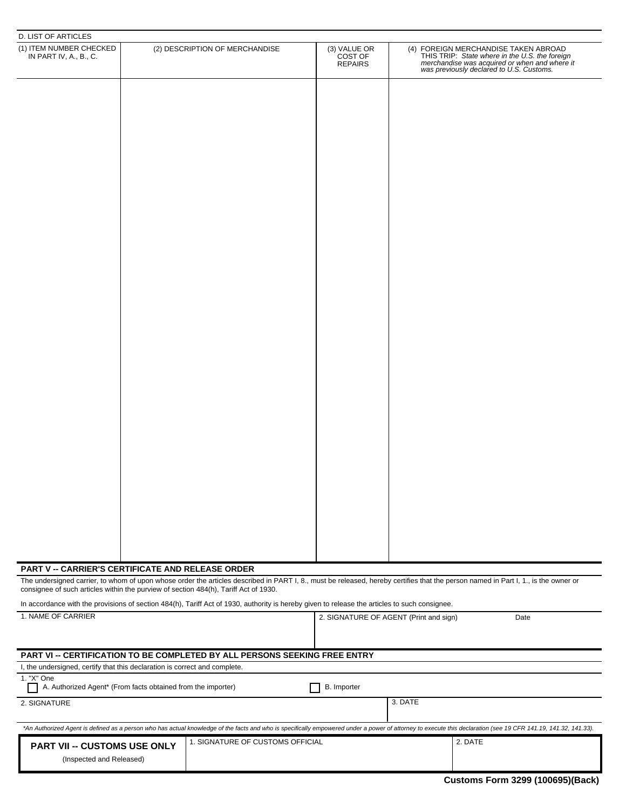| <b>D. LIST OF ARTICLES</b>                                                               |  |                                                                                                                                                                                    |                                           |         |                                                                                                                                                                                                                |  |
|------------------------------------------------------------------------------------------|--|------------------------------------------------------------------------------------------------------------------------------------------------------------------------------------|-------------------------------------------|---------|----------------------------------------------------------------------------------------------------------------------------------------------------------------------------------------------------------------|--|
| (1) ITEM NUMBER CHECKED<br>IN PART IV, A., B., C.                                        |  | (2) DESCRIPTION OF MERCHANDISE                                                                                                                                                     | (3) VALUE OR<br>COST OF<br><b>REPAIRS</b> |         | (4) FOREIGN MERCHANDISE TAKEN ABROAD<br>THIS TRIP: State where in the U.S. the foreign<br>merchandise was acquired or when and where it<br>was previously declared to U.S. Customs.                            |  |
|                                                                                          |  |                                                                                                                                                                                    |                                           |         |                                                                                                                                                                                                                |  |
|                                                                                          |  |                                                                                                                                                                                    |                                           |         |                                                                                                                                                                                                                |  |
|                                                                                          |  |                                                                                                                                                                                    |                                           |         |                                                                                                                                                                                                                |  |
|                                                                                          |  |                                                                                                                                                                                    |                                           |         |                                                                                                                                                                                                                |  |
|                                                                                          |  |                                                                                                                                                                                    |                                           |         |                                                                                                                                                                                                                |  |
|                                                                                          |  |                                                                                                                                                                                    |                                           |         |                                                                                                                                                                                                                |  |
|                                                                                          |  |                                                                                                                                                                                    |                                           |         |                                                                                                                                                                                                                |  |
|                                                                                          |  |                                                                                                                                                                                    |                                           |         |                                                                                                                                                                                                                |  |
|                                                                                          |  |                                                                                                                                                                                    |                                           |         |                                                                                                                                                                                                                |  |
|                                                                                          |  |                                                                                                                                                                                    |                                           |         |                                                                                                                                                                                                                |  |
|                                                                                          |  |                                                                                                                                                                                    |                                           |         |                                                                                                                                                                                                                |  |
|                                                                                          |  |                                                                                                                                                                                    |                                           |         |                                                                                                                                                                                                                |  |
|                                                                                          |  |                                                                                                                                                                                    |                                           |         |                                                                                                                                                                                                                |  |
|                                                                                          |  |                                                                                                                                                                                    |                                           |         |                                                                                                                                                                                                                |  |
|                                                                                          |  |                                                                                                                                                                                    |                                           |         |                                                                                                                                                                                                                |  |
|                                                                                          |  |                                                                                                                                                                                    |                                           |         |                                                                                                                                                                                                                |  |
|                                                                                          |  |                                                                                                                                                                                    |                                           |         |                                                                                                                                                                                                                |  |
|                                                                                          |  |                                                                                                                                                                                    |                                           |         |                                                                                                                                                                                                                |  |
|                                                                                          |  |                                                                                                                                                                                    |                                           |         |                                                                                                                                                                                                                |  |
|                                                                                          |  |                                                                                                                                                                                    |                                           |         |                                                                                                                                                                                                                |  |
|                                                                                          |  |                                                                                                                                                                                    |                                           |         |                                                                                                                                                                                                                |  |
|                                                                                          |  |                                                                                                                                                                                    |                                           |         |                                                                                                                                                                                                                |  |
|                                                                                          |  |                                                                                                                                                                                    |                                           |         |                                                                                                                                                                                                                |  |
|                                                                                          |  |                                                                                                                                                                                    |                                           |         |                                                                                                                                                                                                                |  |
|                                                                                          |  |                                                                                                                                                                                    |                                           |         |                                                                                                                                                                                                                |  |
|                                                                                          |  |                                                                                                                                                                                    |                                           |         |                                                                                                                                                                                                                |  |
|                                                                                          |  |                                                                                                                                                                                    |                                           |         |                                                                                                                                                                                                                |  |
| <b>PART V -- CARRIER'S CERTIFICATE AND RELEASE ORDER</b>                                 |  |                                                                                                                                                                                    |                                           |         |                                                                                                                                                                                                                |  |
| consignee of such articles within the purview of section 484(h), Tariff Act of 1930.     |  | The undersigned carrier, to whom of upon whose order the articles described in PART I, 8., must be released, hereby certifies that the person named in Part I, 1., is the owner or |                                           |         |                                                                                                                                                                                                                |  |
|                                                                                          |  | In accordance with the provisions of section 484(h), Tariff Act of 1930, authority is hereby given to release the articles to such consignee.                                      |                                           |         |                                                                                                                                                                                                                |  |
| 1. NAME OF CARRIER                                                                       |  |                                                                                                                                                                                    | 2. SIGNATURE OF AGENT (Print and sign)    |         | Date                                                                                                                                                                                                           |  |
|                                                                                          |  |                                                                                                                                                                                    |                                           |         |                                                                                                                                                                                                                |  |
|                                                                                          |  | PART VI -- CERTIFICATION TO BE COMPLETED BY ALL PERSONS SEEKING FREE ENTRY                                                                                                         |                                           |         |                                                                                                                                                                                                                |  |
| I, the undersigned, certify that this declaration is correct and complete.<br>1. "X" One |  |                                                                                                                                                                                    |                                           |         |                                                                                                                                                                                                                |  |
| A. Authorized Agent* (From facts obtained from the importer)                             |  |                                                                                                                                                                                    | B. Importer                               |         |                                                                                                                                                                                                                |  |
| 2. SIGNATURE                                                                             |  |                                                                                                                                                                                    |                                           | 3. DATE |                                                                                                                                                                                                                |  |
|                                                                                          |  |                                                                                                                                                                                    |                                           |         | *An Authorized Agent is defined as a person who has actual knowledge of the facts and who is specifically empowered under a power of attorney to execute this declaration (see 19 CFR 141.19, 141.32, 141.33). |  |
| PART VII -- CUSTOMS USE ONLY                                                             |  | 1. SIGNATURE OF CUSTOMS OFFICIAL                                                                                                                                                   |                                           |         | 2. DATE                                                                                                                                                                                                        |  |

(Inspected and Released)

| <b>Customs Form 3299 (100695)(Back)</b> |
|-----------------------------------------|
|-----------------------------------------|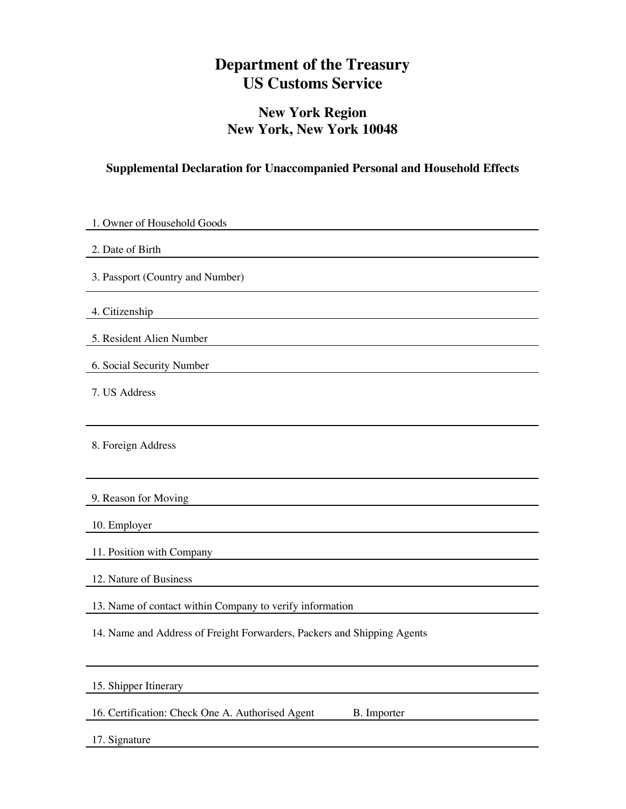# **Department of the Treasury US Customs Service**

## **New York Region New York, New York 10048**

## **Supplemental Declaration for Unaccompanied Personal and Household Effects**

| 1. Owner of Household Goods                                             |
|-------------------------------------------------------------------------|
| 2. Date of Birth                                                        |
| 3. Passport (Country and Number)                                        |
| 4. Citizenship                                                          |
| 5. Resident Alien Number                                                |
| 6. Social Security Number                                               |
| 7. US Address                                                           |
|                                                                         |
| 8. Foreign Address                                                      |
|                                                                         |
| 9. Reason for Moving                                                    |
| 10. Employer                                                            |
| 11. Position with Company                                               |
| 12. Nature of Business                                                  |
| 13. Name of contact within Company to verify information                |
| 14. Name and Address of Freight Forwarders, Packers and Shipping Agents |
|                                                                         |
| 15. Shipper Itinerary                                                   |
|                                                                         |

16. Certification: Check One A. Authorised Agent B. Importer

17. Signature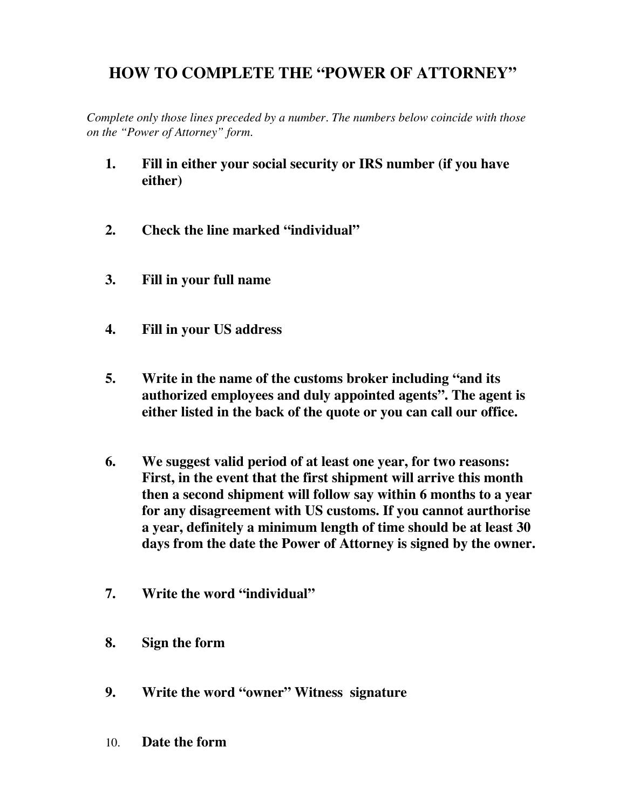# **HOW TO COMPLETE THE "POWER OF ATTORNEY"**

*Complete only those lines preceded by a number. The numbers below coincide with those on the "Power of Attorney" form.*

- **1. Fill in either your social security or IRS number (if you have either)**
- **2. Check the line marked "individual"**
- **3. Fill in your full name**
- **4. Fill in your US address**
- **5. Write in the name of the customs broker including "and its authorized employees and duly appointed agents". The agent is either listed in the back of the quote or you can call our office.**
- **6. We suggest valid period of at least one year, for two reasons: First, in the event that the first shipment will arrive this month then a second shipment will follow say within 6 months to a year for any disagreement with US customs. If you cannot aurthorise a year, definitely a minimum length of time should be at least 30 days from the date the Power of Attorney is signed by the owner.**
- **7. Write the word "individual"**
- **8. Sign the form**
- **9. Write the word "owner" Witness signature**
- 10. **Date the form**